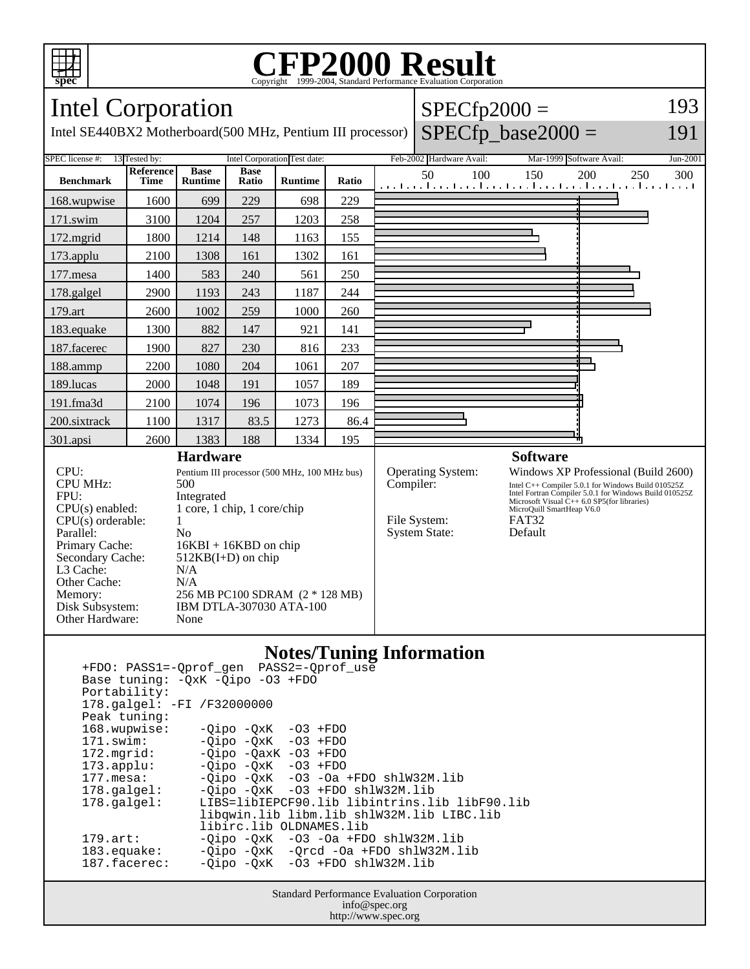

## Copyright ©1999-2004, Standard Performance Evaluation Corporation

| <b>Intel Corporation</b>                                                                                                                                                    |                                                                                                                                                            |                               |                      |                              |           |                                                                 | $SPECfp2000 =$           |                                                                                                                                                                                                                                                       |                                                      |     |     | 193      |
|-----------------------------------------------------------------------------------------------------------------------------------------------------------------------------|------------------------------------------------------------------------------------------------------------------------------------------------------------|-------------------------------|----------------------|------------------------------|-----------|-----------------------------------------------------------------|--------------------------|-------------------------------------------------------------------------------------------------------------------------------------------------------------------------------------------------------------------------------------------------------|------------------------------------------------------|-----|-----|----------|
| Intel SE440BX2 Motherboard(500 MHz, Pentium III processor)                                                                                                                  |                                                                                                                                                            |                               |                      |                              |           |                                                                 |                          |                                                                                                                                                                                                                                                       | $SPECfp\_base2000 =$                                 |     |     | 191      |
| <b>SPEC</b> license #:                                                                                                                                                      | 13 Tested by:                                                                                                                                              |                               |                      | Intel Corporation Test date: |           |                                                                 | Feb-2002 Hardware Avail: |                                                                                                                                                                                                                                                       | Mar-1999 Software Avail:                             |     |     | Jun-2001 |
| <b>Benchmark</b>                                                                                                                                                            | <b>Reference</b><br><b>Time</b>                                                                                                                            | <b>Base</b><br><b>Runtime</b> | <b>Base</b><br>Ratio | <b>Runtime</b>               | Ratio     |                                                                 | 50                       | 100                                                                                                                                                                                                                                                   | 150<br>المتابيط بتطيع المتابيط بتطيعا بتطيعا بتطيعات | 200 | 250 | 300      |
| 168.wupwise                                                                                                                                                                 | 1600                                                                                                                                                       | 699                           | 229                  | 698                          | 229       |                                                                 |                          |                                                                                                                                                                                                                                                       |                                                      |     |     |          |
| 171.swim                                                                                                                                                                    | 3100                                                                                                                                                       | 1204                          | 257                  | 1203                         | 258       |                                                                 |                          |                                                                                                                                                                                                                                                       |                                                      |     |     |          |
| 172.mgrid                                                                                                                                                                   | 1800                                                                                                                                                       | 1214                          | 148                  | 1163                         | 155       |                                                                 |                          |                                                                                                                                                                                                                                                       |                                                      |     |     |          |
| 173.applu                                                                                                                                                                   | 2100                                                                                                                                                       | 1308                          | 161                  | 1302                         | 161       |                                                                 |                          |                                                                                                                                                                                                                                                       |                                                      |     |     |          |
| 177.mesa                                                                                                                                                                    | 1400                                                                                                                                                       | 583                           | 240                  | 561                          | 250       |                                                                 |                          |                                                                                                                                                                                                                                                       |                                                      |     |     |          |
| 178.galgel                                                                                                                                                                  | 2900                                                                                                                                                       | 1193                          | 243                  | 1187                         | 244       |                                                                 |                          |                                                                                                                                                                                                                                                       |                                                      |     |     |          |
| 179.art                                                                                                                                                                     | 2600                                                                                                                                                       | 1002                          | 259                  | 1000                         | 260       |                                                                 |                          |                                                                                                                                                                                                                                                       |                                                      |     |     |          |
| 183.equake                                                                                                                                                                  | 1300                                                                                                                                                       | 882                           | 147                  | 921                          | 141       |                                                                 |                          |                                                                                                                                                                                                                                                       |                                                      |     |     |          |
| 187.facerec                                                                                                                                                                 | 1900                                                                                                                                                       | 827                           | 230                  | 816                          | 233       |                                                                 |                          |                                                                                                                                                                                                                                                       |                                                      |     |     |          |
| 188.ammp                                                                                                                                                                    | 2200                                                                                                                                                       | 1080                          | 204                  | 1061                         | 207       |                                                                 |                          |                                                                                                                                                                                                                                                       |                                                      |     |     |          |
| 189.lucas                                                                                                                                                                   | 2000                                                                                                                                                       | 1048                          | 191                  | 1057                         | 189       |                                                                 |                          |                                                                                                                                                                                                                                                       |                                                      |     |     |          |
| 191.fma3d                                                                                                                                                                   | 2100                                                                                                                                                       | 1074                          | 196                  | 1073                         | 196       |                                                                 |                          |                                                                                                                                                                                                                                                       |                                                      |     |     |          |
| 200.sixtrack                                                                                                                                                                | 1100                                                                                                                                                       | 1317                          | 83.5                 | 1273                         | 86.4      |                                                                 |                          |                                                                                                                                                                                                                                                       |                                                      |     |     |          |
| 301.apsi                                                                                                                                                                    | 2600                                                                                                                                                       | 1383                          | 188                  | 1334                         | 195       |                                                                 |                          |                                                                                                                                                                                                                                                       |                                                      |     |     |          |
| <b>Hardware</b><br>CPU:<br>Pentium III processor (500 MHz, 100 MHz bus)<br><b>CPU MHz:</b><br>500<br>FPU:<br>Integrated<br>$CPU(s)$ enabled:<br>1 core, 1 chip, 1 core/chip |                                                                                                                                                            |                               |                      |                              | Compiler: | Operating System:                                               |                          | <b>Software</b><br>Windows XP Professional (Build 2600)<br>Intel C++ Compiler 5.0.1 for Windows Build 010525Z<br>Intel Fortran Compiler 5.0.1 for Windows Build 010525Z<br>Microsoft Visual $C++ 6.0$ SP5(for libraries)<br>MicroQuill SmartHeap V6.0 |                                                      |     |     |          |
| $CPU(s)$ orderable:<br>Parallel:<br>Primary Cache:<br>Secondary Cache:<br>L3 Cache:<br>Other Cache:<br>Memory:<br>Disk Subsystem:<br>Other Hardware:                        | 1<br>N <sub>o</sub><br>$16KBI + 16KBD$ on chip<br>$512KB(I+D)$ on chip<br>N/A<br>N/A<br>256 MB PC100 SDRAM (2 * 128 MB)<br>IBM DTLA-307030 ATA-100<br>None |                               |                      |                              |           | File System:<br><b>FAT32</b><br><b>System State:</b><br>Default |                          |                                                                                                                                                                                                                                                       |                                                      |     |     |          |

## **Notes/Tuning Information**

| Base tuning: - OxK - Oipo - 03 + FDO                                |
|---------------------------------------------------------------------|
|                                                                     |
| Portability:                                                        |
| 178.galgel: -FI /F32000000                                          |
| Peak tuning:                                                        |
| 168.wupwise:<br>$-Qipo -QxK -O3 + FDO$                              |
| $-Oipo -OXK -O3 + FDO$<br>171.swim:                                 |
| $-Oipo -OaxK -O3 + FDO$<br>172.mqrid:                               |
| 173.applu: -Qipo -QxK -03 +FDO                                      |
| $-Qipo -QxK -O3 -Oa + FDO shlW32M.lib$<br>$177.\mathtt{mesa}\colon$ |
| $-Oipo -OXK -O3 + FDO sh1W32M.lib$<br>$178.\text{qalgel}$ :         |
| LIBS=libIEPCF90.lib libintrins.lib libF90.lib<br>$178$ .galgel:     |
| libqwin.lib libm.lib shlW32M.lib LIBC.lib                           |
| libirc.lib OLDNAMES.lib                                             |
| $-Oipo -OXK -O3 -Oa + FDO shlW32M.lib$<br>$179.\text{art}$ :        |
| $-Qipo -QxK -Qrcd -Oa + FDO shlW32M.lib$<br>183.equake:             |
| $-Oipo -OXK -O3 + FDO sh1W32M.lib$<br>187.facerec:                  |

Standard Performance Evaluation Corporation info@spec.org http://www.spec.org